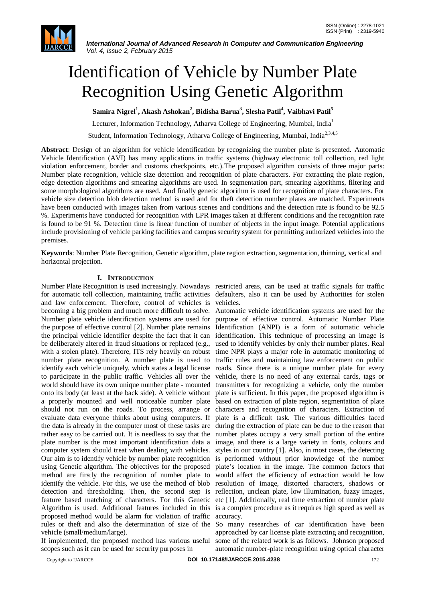

# Identification of Vehicle by Number Plate Recognition Using Genetic Algorithm

**Samira Nigrel<sup>1</sup> , Akash Ashokan<sup>2</sup> , Bidisha Barua<sup>3</sup> , Slesha Patil<sup>4</sup> , Vaibhavi Patil<sup>5</sup>**

Lecturer, Information Technology, Atharva College of Engineering, Mumbai, India<sup>1</sup>

Student, Information Technology, Atharva College of Engineering, Mumbai, India<sup>2,3,4,5</sup>

**Abstract**: Design of an algorithm for vehicle identification by recognizing the number plate is presented. Automatic Vehicle Identification (AVI) has many applications in traffic systems (highway electronic toll collection, red light violation enforcement, border and customs checkpoints, etc.).The proposed algorithm consists of three major parts: Number plate recognition, vehicle size detection and recognition of plate characters. For extracting the plate region, edge detection algorithms and smearing algorithms are used. In segmentation part, smearing algorithms, filtering and some morphological algorithms are used. And finally genetic algorithm is used for recognition of plate characters. For vehicle size detection blob detection method is used and for theft detection number plates are matched. Experiments have been conducted with images taken from various scenes and conditions and the detection rate is found to be 92.5 %. Experiments have conducted for recognition with LPR images taken at different conditions and the recognition rate is found to be 91 %. Detection time is linear function of number of objects in the input image. Potential applications include provisioning of vehicle parking facilities and campus security system for permitting authorized vehicles into the premises.

**Keywords**: Number Plate Recognition, Genetic algorithm, plate region extraction, segmentation, thinning, vertical and horizontal projection.

# **I. INTRODUCTION**

Number Plate Recognition is used increasingly. Nowadays restricted areas, can be used at traffic signals for traffic for automatic toll collection, maintaining traffic activities defaulters, also it can be used by Authorities for stolen and law enforcement. Therefore, control of vehicles is vehicles. becoming a big problem and much more difficult to solve. Automatic vehicle identification systems are used for the Number plate vehicle identification systems are used for purpose of effective control. Automatic Number Plate the purpose of effective control [2]. Number plate remains Identification (ANPI) is a form of automatic vehicle the principal vehicle identifier despite the fact that it can identification. This technique of processing an image is be deliberately altered in fraud situations or replaced (e.g., used to identify vehicles by only their number plates. Real with a stolen plate). Therefore, ITS rely heavily on robust time NPR plays a major role in automatic monitoring of number plate recognition. A number plate is used to traffic rules and maintaining law enforcement on public identify each vehicle uniquely, which states a legal license roads. Since there is a unique number plate for every to participate in the public traffic. Vehicles all over the vehicle, there is no need of any external cards, tags or world should have its own unique number plate - mounted transmitters for recognizing a vehicle, only the number onto its body (at least at the back side). A vehicle without plate is sufficient. In this paper, the proposed algorithm is a properly mounted and well noticeable number plate based on extraction of plate region, segmentation of plate should not run on the roads. To process, arrange or characters and recognition of characters. Extraction of evaluate data everyone thinks about using computers. If plate is a difficult task. The various difficulties faced the data is already in the computer most of these tasks are during the extraction of plate can be due to the reason that rather easy to be carried out. It is needless to say that the number plates occupy a very small portion of the entire plate number is the most important identification data a image, and there is a large variety in fonts, colours and computer system should treat when dealing with vehicles. styles in our country [1]. Also, in most cases, the detecting Our aim is to identify vehicle by number plate recognition is performed without prior knowledge of the number using Genetic algorithm. The objectives for the proposed plate"s location in the image. The common factors that method are firstly the recognition of number plate to would affect the efficiency of extraction would be low identify the vehicle. For this, we use the method of blob resolution of image, distorted characters, shadows or detection and thresholding. Then, the second step is reflection, unclean plate, low illumination, fuzzy images, feature based matching of characters. For this Genetic etc [1]. Additionally, real time extraction of number plate Algorithm is used. Additional features included in this is a complex procedure as it requires high speed as well as proposed method would be alarm for violation of traffic rules or theft and also the determination of size of the So many researches of car identification have been vehicle (small/medium/large).

If implemented, the proposed method has various useful scopes such as it can be used for security purposes in

accuracy.

approached by car license plate extracting and recognition, some of the related work is as follows. Johnson proposed automatic number-plate recognition using optical character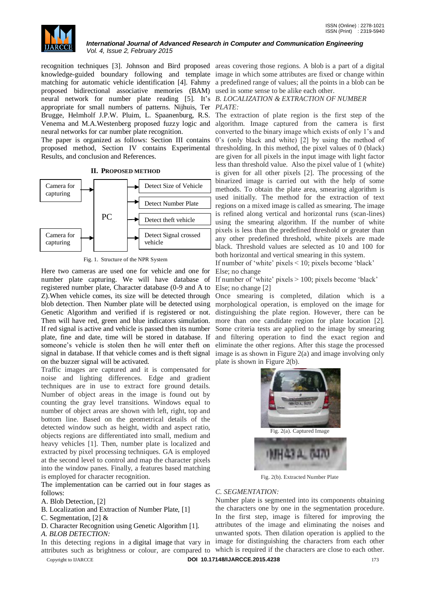

recognition techniques [3]. Johnson and Bird proposed areas covering those regions. A blob is a part of a digital knowledge-guided boundary following and template image in which some attributes are fixed or change within matching for automatic vehicle identification [4]. Fahmy a predefined range of values; all the points in a blob can be proposed bidirectional associative memories (BAM) used in some sense to be alike each other. neural network for number plate reading [5]. It"s *B. LOCALIZATION & EXTRACTION OF NUMBER*  appropriate for small numbers of patterns. Nijhuis, Ter *PLATE:* Brugge, Helmholf J.P.W. Pluim, L. Spaanenburg, R.S. The extraction of plate region is the first step of the Venema and M.A.Westenberg proposed fuzzy logic and algorithm. Image captured from the camera is first neural networks for car number plate recognition.

The paper is organized as follows: Section III contains proposed method, Section IV contains Experimental Results, and conclusion and References.



# **II. PROPOSED METHOD**

Fig. 1. Structure of the NPR System

Here two cameras are used one for vehicle and one for number plate capturing. We will have database of registered number plate, Character database (0-9 and A to Else; no change [2] blob detection. Then Number plate will be detected using Genetic Algorithm and verified if is registered or not. Then will have red, green and blue indicators simulation. If red signal is active and vehicle is passed then its number plate, fine and date, time will be stored in database. If someone"s vehicle is stolen then he will enter theft on signal in database. If that vehicle comes and is theft signal on the buzzer signal will be activated.

Traffic images are captured and it is compensated for noise and lighting differences. Edge and gradient techniques are in use to extract fore ground details. Number of object areas in the image is found out by counting the gray level transitions. Windows equal to number of object areas are shown with left, right, top and bottom line. Based on the geometrical details of the detected window such as height, width and aspect ratio, objects regions are differentiated into small, medium and heavy vehicles [1]. Then, number plate is localized and extracted by pixel processing techniques. GA is employed at the second level to control and map the character pixels into the window panes. Finally, a features based matching is employed for character recognition.

The implementation can be carried out in four stages as follows:

A. Blob Detection, [2]

B. Localization and Extraction of Number Plate, [1]

C. Segmentation, [2] &

D. Character Recognition using Genetic Algorithm [1].

*A. BLOB DETECTION:*

Copyright to IJARCCE **DOI 10.17148/IJARCCE.2015.4238** 173

converted to the binary image which exists of only 1"s and 0"s (only black and white) [2] by using the method of thresholding. In this method, the pixel values of 0 (black) are given for all pixels in the input image with light factor less than threshold value. Also the pixel value of 1 (white) is given for all other pixels [2]. The processing of the binarized image is carried out with the help of some methods. To obtain the plate area, smearing algorithm is used initially. The method for the extraction of text regions on a mixed image is called as smearing. The image is refined along vertical and horizontal runs (scan-lines) using the smearing algorithm. If the number of white pixels is less than the predefined threshold or greater than any other predefined threshold, white pixels are made black. Threshold values are selected as 10 and 100 for both horizontal and vertical smearing in this system.

If number of 'white' pixels  $\leq 10$ ; pixels become 'black' Else; no change

If number of "white" pixels > 100; pixels become "black"

Z).When vehicle comes, its size will be detected through Once smearing is completed, dilation which is a morphological operation, is employed on the image for distinguishing the plate region. However, there can be more than one candidate region for plate location [2]. Some criteria tests are applied to the image by smearing and filtering operation to find the exact region and eliminate the other regions. After this stage the processed image is as shown in Figure 2(a) and image involving only plate is shown in Figure 2(b).



Fig. 2(b). Extracted Number Plate

# *C. SEGMENTATION:*

In this detecting regions in a digital image that vary in image for distinguishing the characters from each other attributes such as brightness or colour, are compared to which is required if the characters are close to each other. Number plate is segmented into its components obtaining the characters one by one in the segmentation procedure. In the first step, image is filtered for improving the attributes of the image and eliminating the noises and unwanted spots. Then dilation operation is applied to the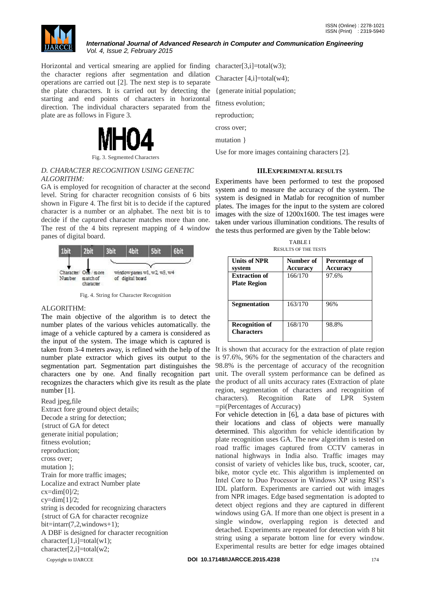

Horizontal and vertical smearing are applied for finding character[3,i]=total(w3); the character regions after segmentation and dilation operations are carried out [2]. The next step is to separate the plate characters. It is carried out by detecting the starting and end points of characters in horizontal direction. The individual characters separated from the plate are as follows in Figure 3.



Fig. 3. Segmented Characters

# *D. CHARACTER RECOGNITION USING GENETIC ALGORITHM:*

GA is employed for recognition of character at the second level. String for character recognition consists of 6 bits shown in Figure 4. The first bit is to decide if the captured character is a number or an alphabet. The next bit is to decide if the captured character matches more than one. The rest of the 4 bits represent mapping of 4 window panes of digital board.



Fig. 4. String for Character Recognition

# ALGORITHM:

The main objective of the algorithm is to detect the number plates of the various vehicles automatically. the image of a vehicle captured by a camera is considered as the input of the system. The image which is captured is taken from 3-4 meters away, is refined with the help of the It is shown that accuracy for the extraction of plate region number plate extractor which gives its output to the segmentation part. Segmentation part distinguishes the characters one by one. And finally recognition part recognizes the characters which give its result as the plate number [1].

Read jpeg,file Extract fore ground object details; Decode a string for detection; {struct of GA for detect generate initial population; fitness evolution; reproduction; cross over; mutation }; Train for more traffic images; Localize and extract Number plate  $cx = dim[0]/2;$  $cy=dim[1]/2;$ string is decoded for recognizing characters {struct of GA for character recognize  $bit=inter(7,2,windows+1);$ A DBF is designed for character recognition character[1,i]=total(w1); character[2,i]=total(w2;

Character [4,i]=total(w4); {generate initial population; fitness evolution;

reproduction;

cross over;

mutation }

Use for more images containing characters [2].

### **III.EXPERIMENTAL RESULTS**

Experiments have been performed to test the proposed system and to measure the accuracy of the system. The system is designed in Matlab for recognition of number plates. The images for the input to the system are colored images with the size of 1200x1600. The test images were taken under various illumination conditions. The results of the tests thus performed are given by the Table below:

| <b>TABLEI</b>               |
|-----------------------------|
| <b>RESULTS OF THE TESTS</b> |

| <b>Units of NPR</b><br>system               | Number of<br>Accuracy | Percentage of<br><b>Accuracy</b> |
|---------------------------------------------|-----------------------|----------------------------------|
| <b>Extraction of</b><br><b>Plate Region</b> | 166/170               | 97.6%                            |
| <b>Segmentation</b>                         | 163/170               | 96%                              |
| <b>Recognition of</b><br><b>Characters</b>  | 168/170               | 98.8%                            |

is 97.6%, 96% for the segmentation of the characters and 98.8% is the percentage of accuracy of the recognition unit. The overall system performance can be defined as the product of all units accuracy rates (Extraction of plate region, segmentation of characters and recognition of characters). Recognition Rate of LPR System =pi(Percentages of Accuracy)

For vehicle detection in [6], a data base of pictures with their locations and class of objects were manually determined. This algorithm for vehicle identification by plate recognition uses GA. The new algorithm is tested on road traffic images captured from CCTV cameras in national highways in India also. Traffic images may consist of variety of vehicles like bus, truck, scooter, car, bike, motor cycle etc. This algorithm is implemented on Intel Core to Duo Processor in Windows XP using RSI"s IDL platform. Experiments are carried out with images from NPR images. Edge based segmentation is adopted to detect object regions and they are captured in different windows using GA. If more than one object is present in a single window, overlapping region is detected and detached. Experiments are repeated for detection with 8 bit string using a separate bottom line for every window. Experimental results are better for edge images obtained